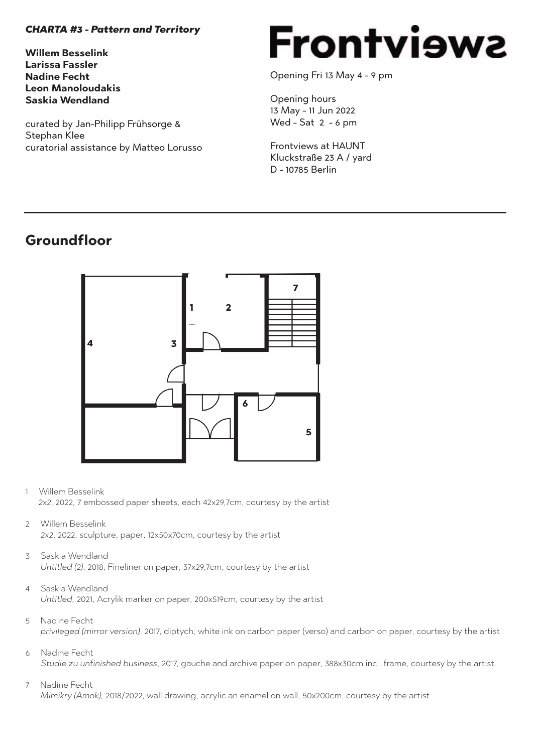### *CHARTA #3 - Pattern and Territory*

**Willem Besselink Larissa Fassler Nadine Fecht Leon Manoloudakis Saskia Wendland**

curated by Jan-Philipp Frühsorge & Stephan Klee curatorial assistance by Matteo Lorusso

# Frontviewa

Opening Fri 13 May 4 - 9 pm

Opening hours 13 May - 11 Jun 2022 Wed - Sat 2 - 6 pm

Frontviews at HAUNT Kluckstraße 23 A / yard D - 10785 Berlin

### **Groundfloor**



- 1 Willem Besselink  *2x2*, 2022, 7 embossed paper sheets, each 42x29,7cm, courtesy by the artist
- 2 Willem Besselink  *2x2*, 2022, sculpture, paper, 12x50x70cm, courtesy by the artist
- 3 Saskia Wendland  *Untitled (2)*, 2018, Fineliner on paper, 37x29,7cm, courtesy by the artist
- 4 Saskia Wendland  *Untitled,* 2021, Acrylik marker on paper, 200x519cm, courtesy by the artist
- 5 Nadine Fecht  *privileged (mirror version)*, 2017, diptych, white ink on carbon paper (verso) and carbon on paper, courtesy by the artist
- 6 Nadine Fecht  *Studie zu unfinished business*, 2017, gauche and archive paper on paper, 388x30cm incl. frame, courtesy by the artist
- 7 Nadine Fecht  *Mimikry (Amok),* 2018/2022, wall drawing, acrylic an enamel on wall, 50x200cm, courtesy by the artist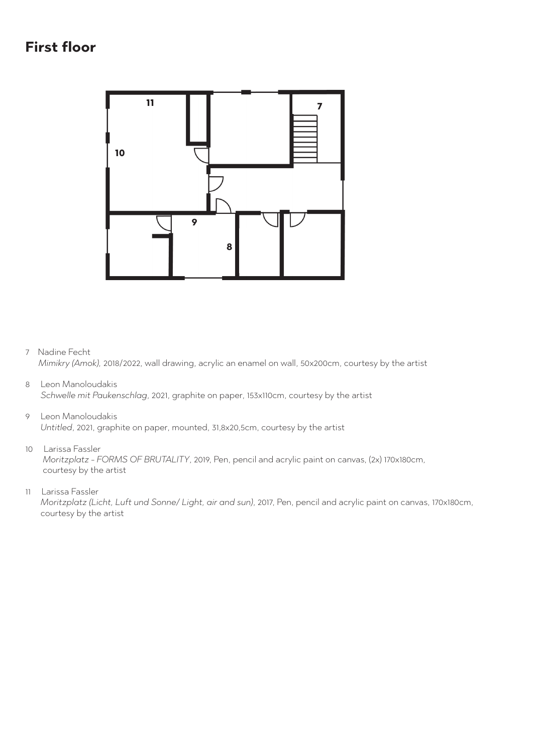### **First floor**



7 Nadine Fecht

*Mimikry (Amok),* 2018/2022, wall drawing, acrylic an enamel on wall, 50x200cm, courtesy by the artist

- 8 Leon Manoloudakis *Schwelle mit Paukenschlag*, 2021, graphite on paper, 153x110cm, courtesy by the artist
- 9 Leon Manoloudakis

*Untitled*, 2021, graphite on paper, mounted, 31,8x20,5cm, courtesy by the artist

10 Larissa Fassler

 *Moritzplatz - FORMS OF BRUTALITY*, 2019, Pen, pencil and acrylic paint on canvas, (2x) 170x180cm, courtesy by the artist

11 Larissa Fassler

 *Moritzplatz (Licht, Luft und Sonne/ Light, air and sun)*, 2017, Pen, pencil and acrylic paint on canvas, 170x180cm, courtesy by the artist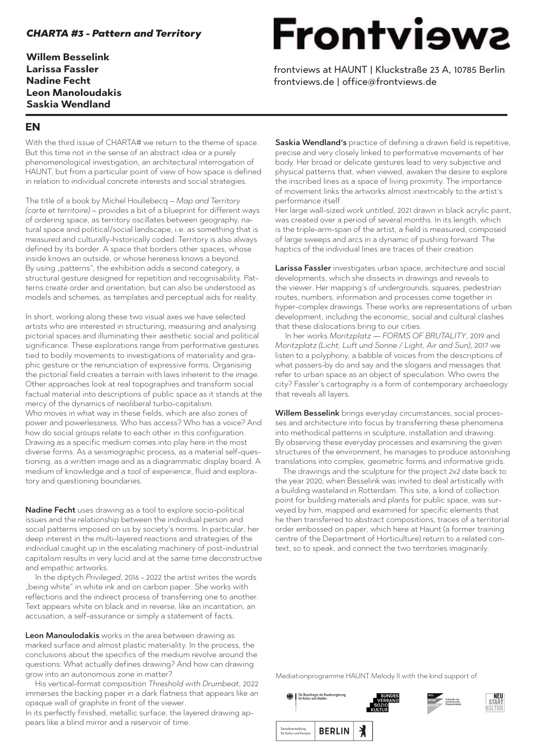### *CHARTA #3 - Pattern and Territory*

**Willem Besselink Larissa Fassler Nadine Fecht Leon Manoloudakis Saskia Wendland**

## **Frontviews**

frontviews at HAUNT | Kluckstraße 23 A, 10785 Berlin frontviews.de | office@frontviews.de

### **EN**

With the third issue of CHARTA# we return to the theme of space. But this time not in the sense of an abstract idea or a purely phenomenological investigation, an architectural interrogation of HAUNT, but from a particular point of view of how space is defined in relation to individual concrete interests and social strategies.

The title of a book by Michel Houllebecq – *Map and Territory (carte et territoire)* – provides a bit of a blueprint for different ways of ordering space, as territory oscillates between geography, natural space and political/social landscape, i.e. as something that is measured and culturally-historically coded. Territory is also always defined by its border. A space that borders other spaces, whose inside knows an outside, or whose hereness knows a beyond. By using "patterns", the exhibition adds a second category, a structural gesture designed for repetition and recognisability. Patterns create order and orientation, but can also be understood as models and schemes, as templates and perceptual aids for reality.

In short, working along these two visual axes we have selected artists who are interested in structuring, measuring and analysing pictorial spaces and illuminating their aesthetic social and political significance. These explorations range from performative gestures tied to bodily movements to investigations of materiality and graphic gesture or the renunciation of expressive forms. Organising the pictorial field creates a terrain with laws inherent to the image. Other approaches look at real topographies and transform social factual material into descriptions of public space as it stands at the mercy of the dynamics of neoliberal turbo-capitalism. Who moves in what way in these fields, which are also zones of power and powerlessness. Who has access? Who has a voice? And how do social groups relate to each other in this configuration. Drawing as a specific medium comes into play here in the most diverse forms. As a seismographic process, as a material self-questioning, as a written image and as a diagrammatic display board. A medium of knowledge and a tool of experience, fluid and exploratory and questioning boundaries.

Nadine Fecht uses drawing as a tool to explore socio-political issues and the relationship between the individual person and social patterns imposed on us by society's norms. In particular, her deep interest in the multi-layered reactions and strategies of the individual caught up in the escalating machinery of post-industrial capitalism results in very lucid and at the same time deconstructive and empathic artworks.

 In the diptych *Privileged*, 2016 - 2022 the artist writes the words "being white" in white ink and on carbon paper. She works with reflections and the indirect process of transferring one to another. Text appears white on black and in reverse, like an incantation, an accusation, a self-assurance or simply a statement of facts.

Leon Manoulodakis works in the area between drawing as marked surface and almost plastic materiality. In the process, the conclusions about the specifics of the medium revolve around the questions: What actually defines drawing? And how can drawing grow into an autonomous zone in matter?

 His vertical-format composition *Threshold with Drumbeat*, 2022 immerses the backing paper in a dark flatness that appears like an opaque wall of graphite in front of the viewer.

In its perfectly finished, metallic surface, the layered drawing appears like a blind mirror and a reservoir of time.

Saskia Wendland's practice of defining a drawn field is repetitive, precise and very closely linked to performative movements of her body. Her broad or delicate gestures lead to very subjective and physical patterns that, when viewed, awaken the desire to explore the inscribed lines as a space of living proximity. The importance of movement links the artworks almost inextricably to the artist's performance itself.

Her large wall-sized work *untitled*, 2021 drawn in black acrylic paint, was created over a period of several months. In its length, which is the triple-arm-span of the artist, a field is measured, composed of large sweeps and arcs in a dynamic of pushing forward. The haptics of the individual lines are traces of their creation.

Larissa Fassler investigates urban space, architecture and social developments, which she dissects in drawings and reveals to the viewer. Her mapping's of undergrounds, squares, pedestrian routes, numbers, information and processes come together in hyper-complex drawings. These works are representations of urban development, including the economic, social and cultural clashes that these dislocations bring to our cities.

 In her works *Moritzplatz — FORMS OF BRUTALITY*, 2019 and *Moritzplatz (Licht, Luft und Sonne / Light, Air and Sun)*, 2017 we listen to a polyphony, a babble of voices from the descriptions of what passers-by do and say and the slogans and messages that refer to urban space as an object of speculation. Who owns the city? Fassler's cartography is a form of contemporary archaeology that reveals all layers.

Willem Besselink brings everyday circumstances, social processes and architecture into focus by transferring these phenomena into methodical patterns in sculpture, installation and drawing. By observing these everyday processes and examining the given structures of the environment, he manages to produce astonishing translations into complex, geometric forms and informative grids.

 The drawings and the sculpture for the project *2x2* date back to the year 2020, when Besselink was invited to deal artistically with a building wasteland in Rotterdam. This site, a kind of collection point for building materials and plants for public space, was surveyed by him, mapped and examined for specific elements that he then transferred to abstract compositions, traces of a territorial order embossed on paper, which here at Haunt (a former training centre of the Department of Horticulture) return to a related context, so to speak, and connect the two territories imaginarily.

Mediationprogramme HAUNT Melody II with the kind support of